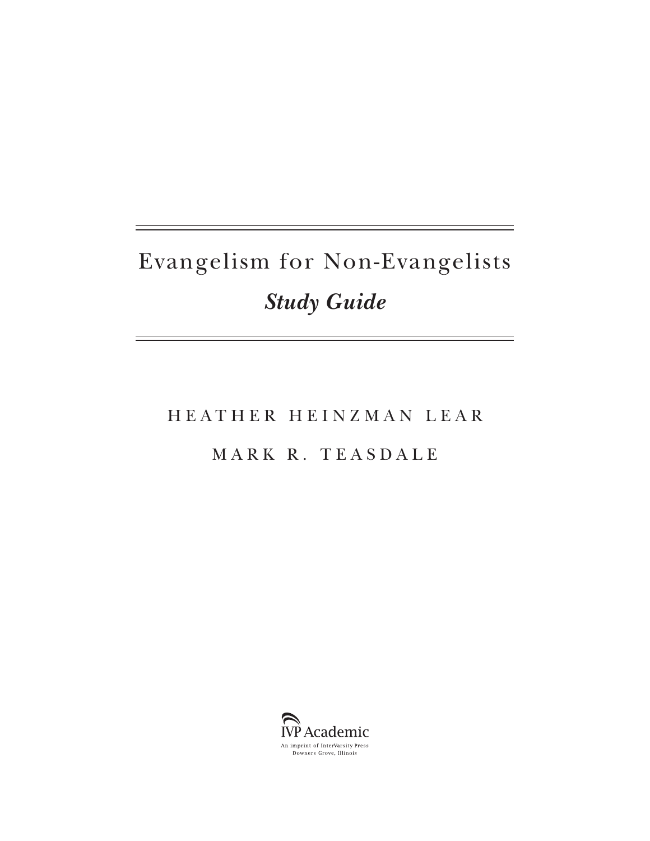# Evangelism for Non-Evangelists *Study Guide*

## HEATHER HEINZMAN LEAR MARK R. TEASDALE

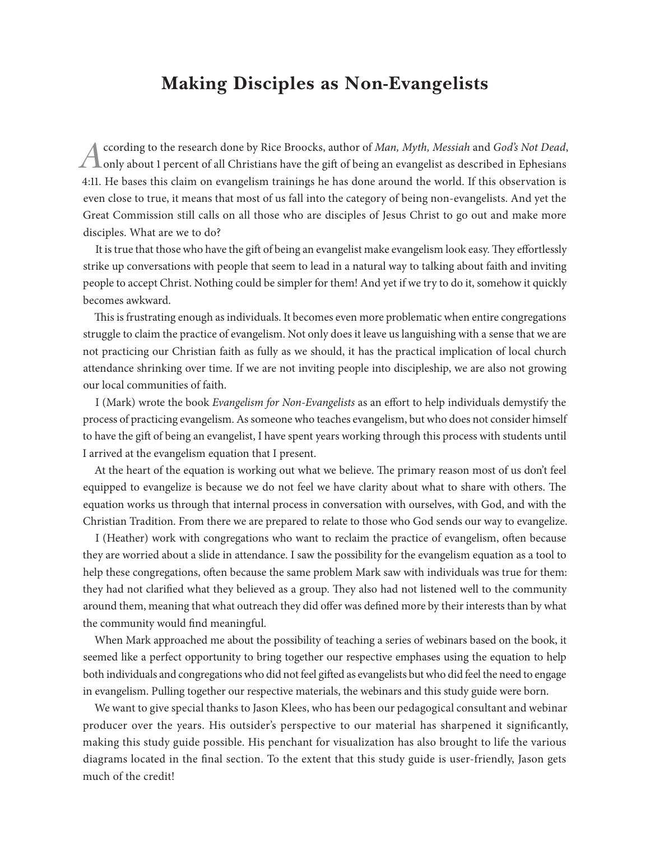### **Making Disciples as Non-Evangelists**

*A* ccording to the research done by Rice Broocks, author of *Man, Myth, Messiah* and *God's Not Dead*, only about 1 percent of all Christians have the gift of being an evangelist as described in Ephesians 4:11. He bases this claim on evangelism trainings he has done around the world. If this observation is even close to true, it means that most of us fall into the category of being non-evangelists. And yet the Great Commission still calls on all those who are disciples of Jesus Christ to go out and make more disciples. What are we to do?

It is true that those who have the gift of being an evangelist make evangelism look easy. They effortlessly strike up conversations with people that seem to lead in a natural way to talking about faith and inviting people to accept Christ. Nothing could be simpler for them! And yet if we try to do it, somehow it quickly becomes awkward.

This is frustrating enough as individuals. It becomes even more problematic when entire congregations struggle to claim the practice of evangelism. Not only does it leave us languishing with a sense that we are not practicing our Christian faith as fully as we should, it has the practical implication of local church attendance shrinking over time. If we are not inviting people into discipleship, we are also not growing our local communities of faith.

I (Mark) wrote the book *Evangelism for Non-Evangelists* as an effort to help individuals demystify the process of practicing evangelism. As someone who teaches evangelism, but who does not consider himself to have the gift of being an evangelist, I have spent years working through this process with students until I arrived at the evangelism equation that I present.

At the heart of the equation is working out what we believe. The primary reason most of us don't feel equipped to evangelize is because we do not feel we have clarity about what to share with others. The equation works us through that internal process in conversation with ourselves, with God, and with the Christian Tradition. From there we are prepared to relate to those who God sends our way to evangelize.

I (Heather) work with congregations who want to reclaim the practice of evangelism, often because they are worried about a slide in attendance. I saw the possibility for the evangelism equation as a tool to help these congregations, often because the same problem Mark saw with individuals was true for them: they had not clarified what they believed as a group. They also had not listened well to the community around them, meaning that what outreach they did offer was defined more by their interests than by what the community would find meaningful.

When Mark approached me about the possibility of teaching a series of webinars based on the book, it seemed like a perfect opportunity to bring together our respective emphases using the equation to help both individuals and congregations who did not feel gifted as evangelists but who did feel the need to engage in evangelism. Pulling together our respective materials, the webinars and this study guide were born.

We want to give special thanks to Jason Klees, who has been our pedagogical consultant and webinar producer over the years. His outsider's perspective to our material has sharpened it significantly, making this study guide possible. His penchant for visualization has also brought to life the various diagrams located in the final section. To the extent that this study guide is user-friendly, Jason gets much of the credit!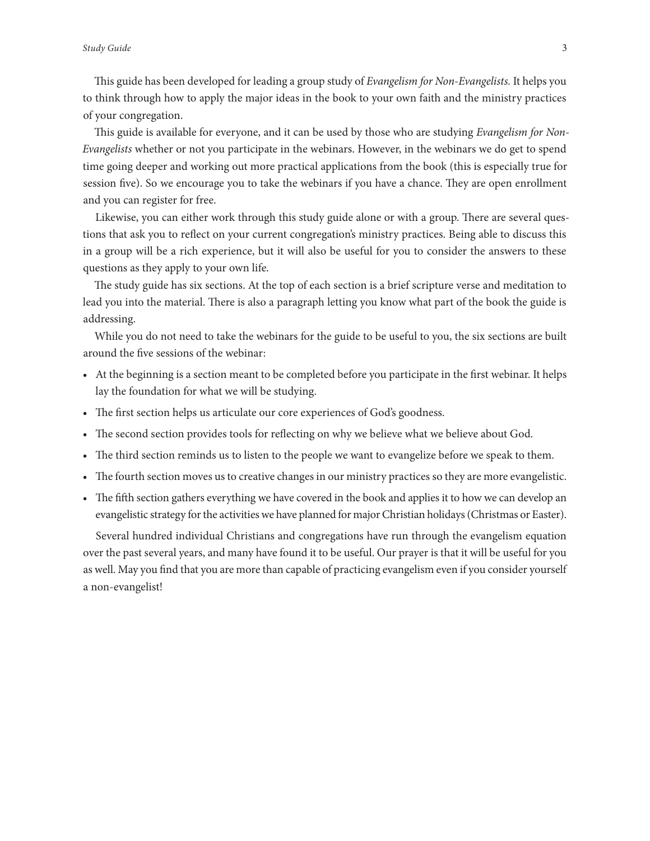This guide has been developed for leading a group study of *Evangelism for Non-Evangelists.* It helps you to think through how to apply the major ideas in the book to your own faith and the ministry practices of your congregation.

This guide is available for everyone, and it can be used by those who are studying *Evangelism for Non-Evangelists* whether or not you participate in the webinars. However, in the webinars we do get to spend time going deeper and working out more practical applications from the book (this is especially true for session five). So we encourage you to take the webinars if you have a chance. They are open enrollment and you can register for free.

Likewise, you can either work through this study guide alone or with a group. There are several questions that ask you to reflect on your current congregation's ministry practices. Being able to discuss this in a group will be a rich experience, but it will also be useful for you to consider the answers to these questions as they apply to your own life.

The study guide has six sections. At the top of each section is a brief scripture verse and meditation to lead you into the material. There is also a paragraph letting you know what part of the book the guide is addressing.

While you do not need to take the webinars for the guide to be useful to you, the six sections are built around the five sessions of the webinar:

- At the beginning is a section meant to be completed before you participate in the first webinar. It helps lay the foundation for what we will be studying.
- The first section helps us articulate our core experiences of God's goodness.
- The second section provides tools for reflecting on why we believe what we believe about God.
- The third section reminds us to listen to the people we want to evangelize before we speak to them.
- The fourth section moves us to creative changes in our ministry practices so they are more evangelistic.
- The fifth section gathers everything we have covered in the book and applies it to how we can develop an evangelistic strategy for the activities we have planned for major Christian holidays (Christmas or Easter).

Several hundred individual Christians and congregations have run through the evangelism equation over the past several years, and many have found it to be useful. Our prayer is that it will be useful for you as well. May you find that you are more than capable of practicing evangelism even if you consider yourself a non-evangelist!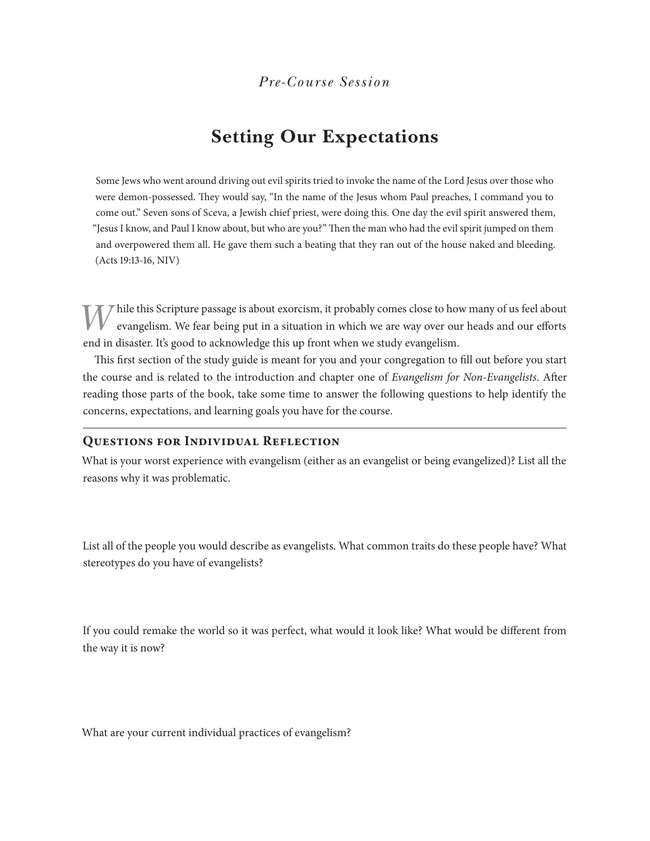### **Setting Our Expectations**

Some Jews who went around driving out evil spirits tried to invoke the name of the Lord Jesus over those who were demon-possessed. They would say, "In the name of the Jesus whom Paul preaches, I command you to come out." Seven sons of Sceva, a Jewish chief priest, were doing this. One day the evil spirit answered them, "Jesus I know, and Paul I know about, but who are you?" Then the man who had the evil spirit jumped on them and overpowered them all. He gave them such a beating that they ran out of the house naked and bleeding. (Acts 19:13-16, NIV)

While this Scripture passage is about exorcism, it probably comes close to how many of us feel about evangelism. We fear being put in a situation in which we are way over our heads and our efforts end in disaster. It's good to acknowledge this up front when we study evangelism.

This first section of the study guide is meant for you and your congregation to fill out before you start the course and is related to the introduction and chapter one of *Evangelism for Non-Evangelists*. After reading those parts of the book, take some time to answer the following questions to help identify the concerns, expectations, and learning goals you have for the course.

#### **Questions for Individual Reflection**

What is your worst experience with evangelism (either as an evangelist or being evangelized)? List all the reasons why it was problematic.

List all of the people you would describe as evangelists. What common traits do these people have? What stereotypes do you have of evangelists?

If you could remake the world so it was perfect, what would it look like? What would be different from the way it is now?

What are your current individual practices of evangelism?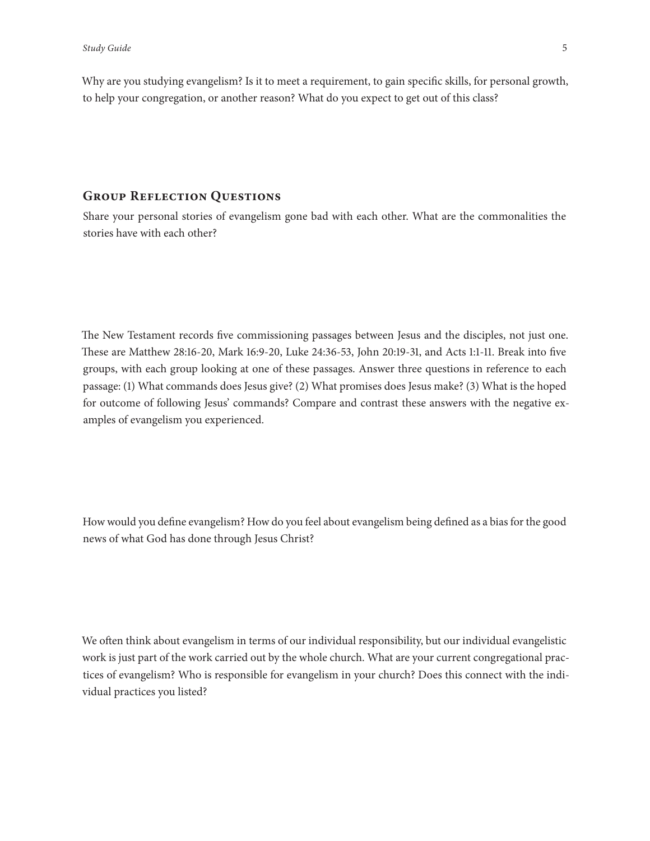Why are you studying evangelism? Is it to meet a requirement, to gain specific skills, for personal growth, to help your congregation, or another reason? What do you expect to get out of this class?

#### **Group Reflection Questions**

Share your personal stories of evangelism gone bad with each other. What are the commonalities the stories have with each other?

The New Testament records five commissioning passages between Jesus and the disciples, not just one. These are Matthew 28:16-20, Mark 16:9-20, Luke 24:36-53, John 20:19-31, and Acts 1:1-11. Break into five groups, with each group looking at one of these passages. Answer three questions in reference to each passage: (1) What commands does Jesus give? (2) What promises does Jesus make? (3) What is the hoped for outcome of following Jesus' commands? Compare and contrast these answers with the negative examples of evangelism you experienced.

How would you define evangelism? How do you feel about evangelism being defined as a bias for the good news of what God has done through Jesus Christ?

We often think about evangelism in terms of our individual responsibility, but our individual evangelistic work is just part of the work carried out by the whole church. What are your current congregational practices of evangelism? Who is responsible for evangelism in your church? Does this connect with the individual practices you listed?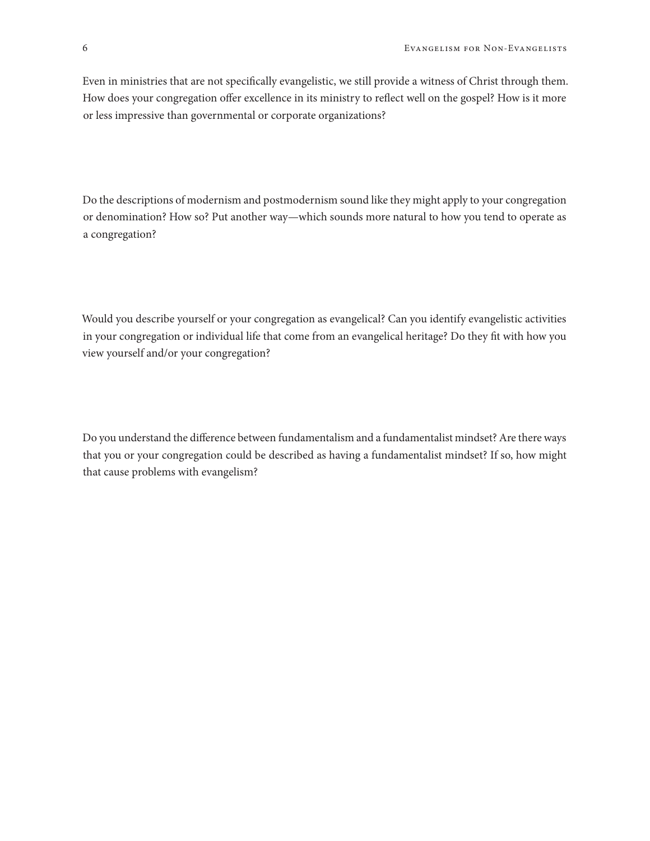Even in ministries that are not specifically evangelistic, we still provide a witness of Christ through them. How does your congregation offer excellence in its ministry to reflect well on the gospel? How is it more or less impressive than governmental or corporate organizations?

Do the descriptions of modernism and postmodernism sound like they might apply to your congregation or denomination? How so? Put another way—which sounds more natural to how you tend to operate as a congregation?

Would you describe yourself or your congregation as evangelical? Can you identify evangelistic activities in your congregation or individual life that come from an evangelical heritage? Do they fit with how you view yourself and/or your congregation?

Do you understand the difference between fundamentalism and a fundamentalist mindset? Are there ways that you or your congregation could be described as having a fundamentalist mindset? If so, how might that cause problems with evangelism?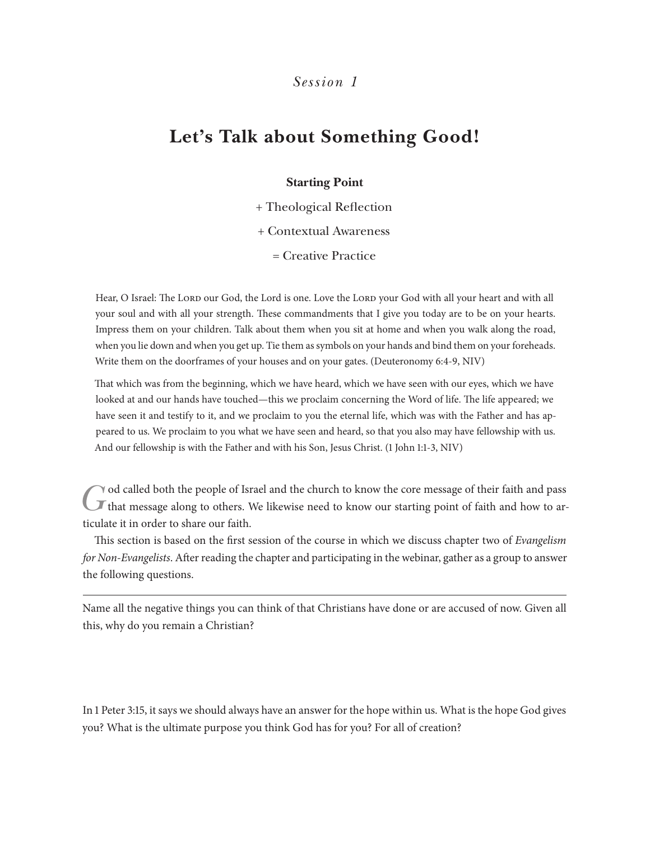### **Let's Talk about Something Good!**

#### **Starting Point**

+ Theological Reflection + Contextual Awareness = Creative Practice

Hear, O Israel: The Lord our God, the Lord is one. Love the Lord your God with all your heart and with all your soul and with all your strength. These commandments that I give you today are to be on your hearts. Impress them on your children. Talk about them when you sit at home and when you walk along the road, when you lie down and when you get up. Tie them as symbols on your hands and bind them on your foreheads. Write them on the doorframes of your houses and on your gates. (Deuteronomy 6:4-9, NIV)

That which was from the beginning, which we have heard, which we have seen with our eyes, which we have looked at and our hands have touched—this we proclaim concerning the Word of life. The life appeared; we have seen it and testify to it, and we proclaim to you the eternal life, which was with the Father and has appeared to us. We proclaim to you what we have seen and heard, so that you also may have fellowship with us. And our fellowship is with the Father and with his Son, Jesus Christ. (1 John 1:1-3, NIV)

That message along to others. We likewise need to know our starting point of faith and how to ar-<br>That message along to others. We likewise need to know our starting point of faith and how to articulate it in order to share our faith.

This section is based on the first session of the course in which we discuss chapter two of *Evangelism for Non-Evangelists*. After reading the chapter and participating in the webinar, gather as a group to answer the following questions.

Name all the negative things you can think of that Christians have done or are accused of now. Given all this, why do you remain a Christian?

In 1 Peter 3:15, it says we should always have an answer for the hope within us. What is the hope God gives you? What is the ultimate purpose you think God has for you? For all of creation?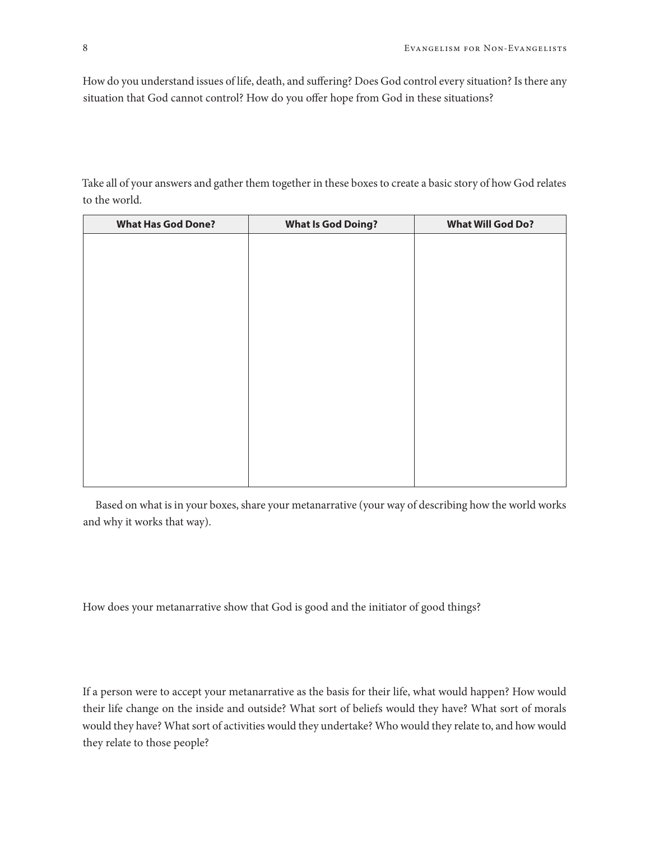How do you understand issues of life, death, and suffering? Does God control every situation? Is there any situation that God cannot control? How do you offer hope from God in these situations?

Take all of your answers and gather them together in these boxes to create a basic story of how God relates to the world.

| <b>What Has God Done?</b> | <b>What Is God Doing?</b> | <b>What Will God Do?</b> |
|---------------------------|---------------------------|--------------------------|
|                           |                           |                          |
|                           |                           |                          |
|                           |                           |                          |
|                           |                           |                          |
|                           |                           |                          |
|                           |                           |                          |
|                           |                           |                          |
|                           |                           |                          |
|                           |                           |                          |
|                           |                           |                          |
|                           |                           |                          |
|                           |                           |                          |
|                           |                           |                          |
|                           |                           |                          |

Based on what is in your boxes, share your metanarrative (your way of describing how the world works and why it works that way).

How does your metanarrative show that God is good and the initiator of good things?

If a person were to accept your metanarrative as the basis for their life, what would happen? How would their life change on the inside and outside? What sort of beliefs would they have? What sort of morals would they have? What sort of activities would they undertake? Who would they relate to, and how would they relate to those people?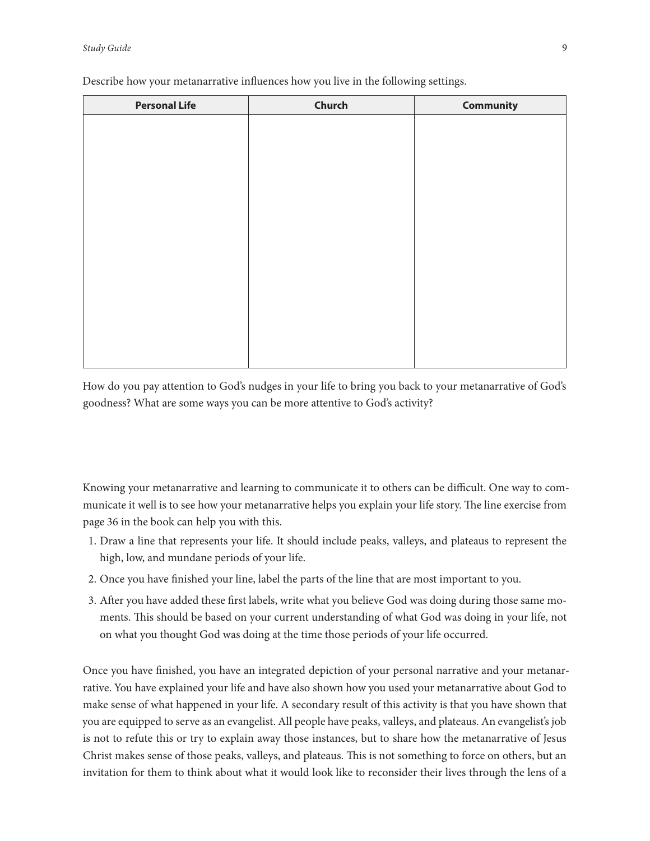| <b>Personal Life</b> | Church | <b>Community</b> |
|----------------------|--------|------------------|
|                      |        |                  |
|                      |        |                  |
|                      |        |                  |
|                      |        |                  |
|                      |        |                  |
|                      |        |                  |
|                      |        |                  |
|                      |        |                  |
|                      |        |                  |
|                      |        |                  |
|                      |        |                  |
|                      |        |                  |
|                      |        |                  |
|                      |        |                  |

Describe how your metanarrative influences how you live in the following settings.

How do you pay attention to God's nudges in your life to bring you back to your metanarrative of God's goodness? What are some ways you can be more attentive to God's activity?

Knowing your metanarrative and learning to communicate it to others can be difficult. One way to communicate it well is to see how your metanarrative helps you explain your life story. The line exercise from page 36 in the book can help you with this.

- 1. Draw a line that represents your life. It should include peaks, valleys, and plateaus to represent the high, low, and mundane periods of your life.
- 2. Once you have finished your line, label the parts of the line that are most important to you.
- 3. After you have added these first labels, write what you believe God was doing during those same moments. This should be based on your current understanding of what God was doing in your life, not on what you thought God was doing at the time those periods of your life occurred.

Once you have finished, you have an integrated depiction of your personal narrative and your metanarrative. You have explained your life and have also shown how you used your metanarrative about God to make sense of what happened in your life. A secondary result of this activity is that you have shown that you are equipped to serve as an evangelist. All people have peaks, valleys, and plateaus. An evangelist's job is not to refute this or try to explain away those instances, but to share how the metanarrative of Jesus Christ makes sense of those peaks, valleys, and plateaus. This is not something to force on others, but an invitation for them to think about what it would look like to reconsider their lives through the lens of a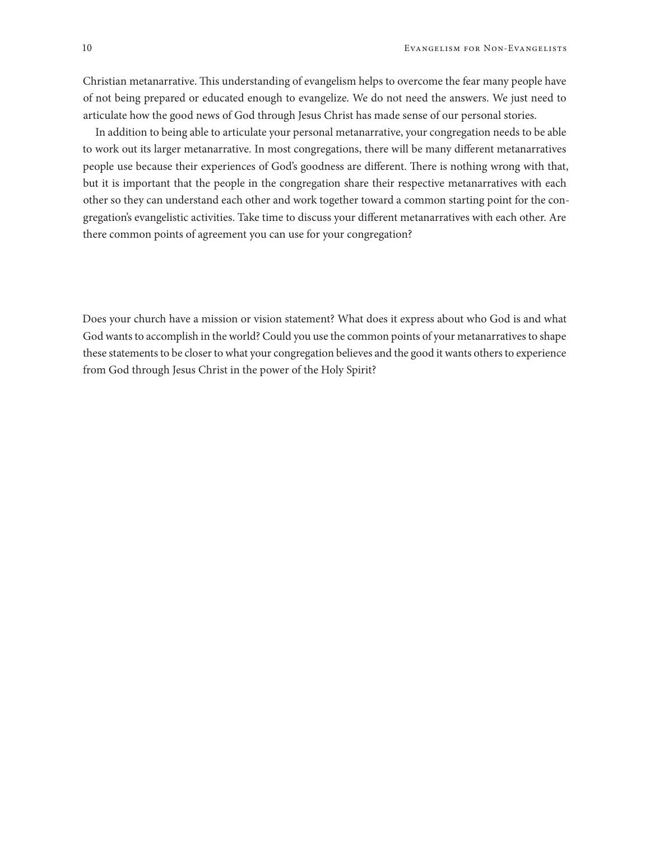Christian metanarrative. This understanding of evangelism helps to overcome the fear many people have of not being prepared or educated enough to evangelize. We do not need the answers. We just need to articulate how the good news of God through Jesus Christ has made sense of our personal stories.

In addition to being able to articulate your personal metanarrative, your congregation needs to be able to work out its larger metanarrative. In most congregations, there will be many different metanarratives people use because their experiences of God's goodness are different. There is nothing wrong with that, but it is important that the people in the congregation share their respective metanarratives with each other so they can understand each other and work together toward a common starting point for the congregation's evangelistic activities. Take time to discuss your different metanarratives with each other. Are there common points of agreement you can use for your congregation?

Does your church have a mission or vision statement? What does it express about who God is and what God wants to accomplish in the world? Could you use the common points of your metanarratives to shape these statements to be closer to what your congregation believes and the good it wants others to experience from God through Jesus Christ in the power of the Holy Spirit?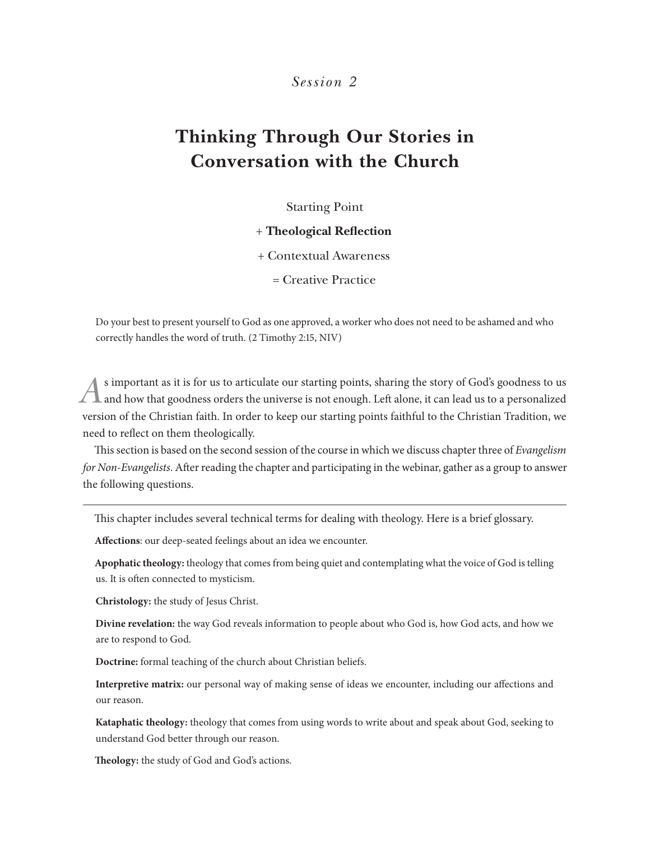### **Thinking Through Our Stories in Conversation with the Church**

Starting Point

#### + **Theological Reflection**

+ Contextual Awareness

= Creative Practice

Do your best to present yourself to God as one approved, a worker who does not need to be ashamed and who correctly handles the word of truth. (2 Timothy 2:15, NIV)

*A* is important as it is for us to articulate our starting points, sharing the story of God's goodness to us and how that goodness orders the universe is not enough. Left alone, it can lead us to a personalized version of the Christian faith. In order to keep our starting points faithful to the Christian Tradition, we need to reflect on them theologically.

This section is based on the second session of the course in which we discuss chapter three of *Evangelism for Non-Evangelists*. After reading the chapter and participating in the webinar, gather as a group to answer the following questions.

This chapter includes several technical terms for dealing with theology. Here is a brief glossary.

**Affections**: our deep-seated feelings about an idea we encounter.

**Apophatic theology:** theology that comes from being quiet and contemplating what the voice of God is telling us. It is often connected to mysticism.

**Christology:** the study of Jesus Christ.

**Divine revelation:** the way God reveals information to people about who God is, how God acts, and how we are to respond to God.

**Doctrine:** formal teaching of the church about Christian beliefs.

**Interpretive matrix:** our personal way of making sense of ideas we encounter, including our affections and our reason.

**Kataphatic theology:** theology that comes from using words to write about and speak about God, seeking to understand God better through our reason.

**Theology:** the study of God and God's actions.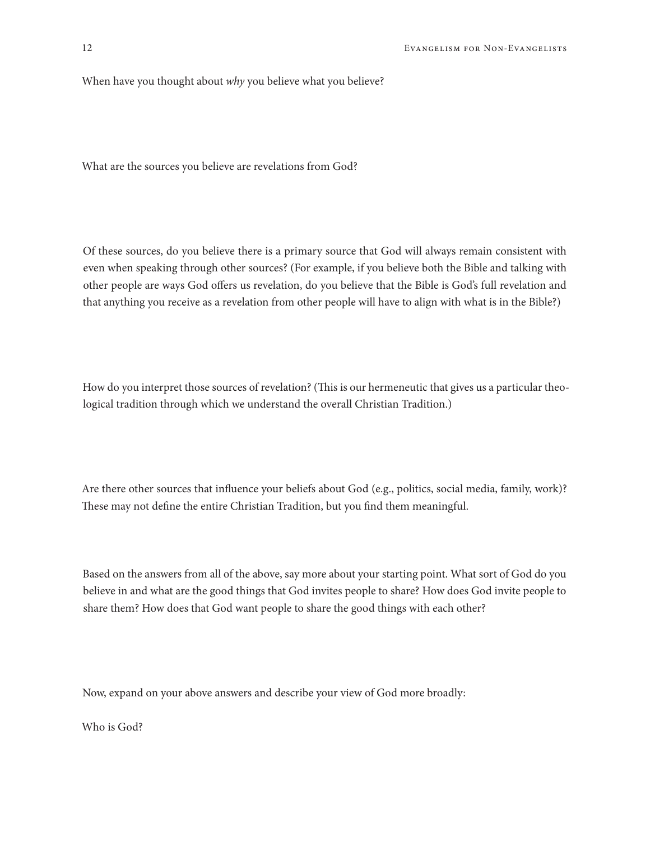When have you thought about *why* you believe what you believe?

What are the sources you believe are revelations from God?

Of these sources, do you believe there is a primary source that God will always remain consistent with even when speaking through other sources? (For example, if you believe both the Bible and talking with other people are ways God offers us revelation, do you believe that the Bible is God's full revelation and that anything you receive as a revelation from other people will have to align with what is in the Bible?)

How do you interpret those sources of revelation? (This is our hermeneutic that gives us a particular theological tradition through which we understand the overall Christian Tradition.)

Are there other sources that influence your beliefs about God (e.g., politics, social media, family, work)? These may not define the entire Christian Tradition, but you find them meaningful.

Based on the answers from all of the above, say more about your starting point. What sort of God do you believe in and what are the good things that God invites people to share? How does God invite people to share them? How does that God want people to share the good things with each other?

Now, expand on your above answers and describe your view of God more broadly:

Who is God?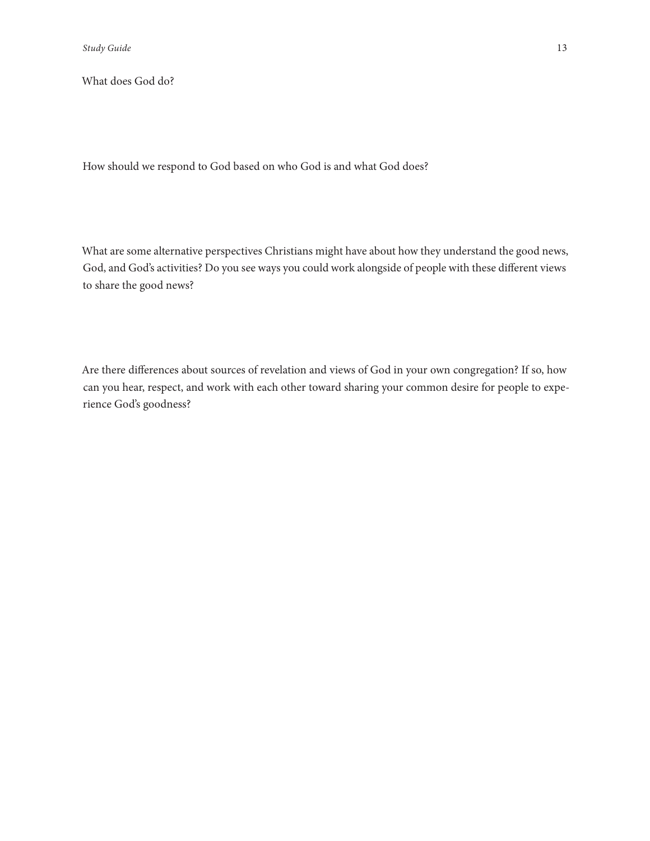What does God do?

How should we respond to God based on who God is and what God does?

What are some alternative perspectives Christians might have about how they understand the good news, God, and God's activities? Do you see ways you could work alongside of people with these different views to share the good news?

Are there differences about sources of revelation and views of God in your own congregation? If so, how can you hear, respect, and work with each other toward sharing your common desire for people to experience God's goodness?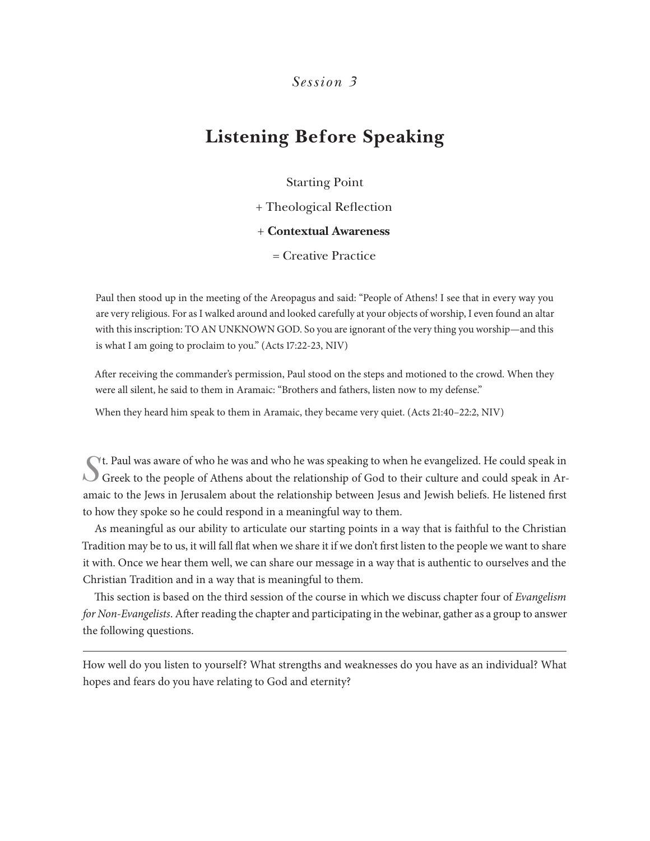### **Listening Before Speaking**

Starting Point

+ Theological Reflection

+ **Contextual Awareness**

= Creative Practice

Paul then stood up in the meeting of the Areopagus and said: "People of Athens! I see that in every way you are very religious. For as I walked around and looked carefully at your objects of worship, I even found an altar with this inscription: TO AN UNKNOWN GOD. So you are ignorant of the very thing you worship—and this is what I am going to proclaim to you." (Acts 17:22-23, NIV)

After receiving the commander's permission, Paul stood on the steps and motioned to the crowd. When they were all silent, he said to them in Aramaic: "Brothers and fathers, listen now to my defense."

When they heard him speak to them in Aramaic, they became very quiet. (Acts 21:40–22:2, NIV)

Tt. Paul was aware of who he was and who he was speaking to when he evangelized. He could speak in Ar-Greek to the people of Athens about the relationship of God to their culture and could speak in Aramaic to the Jews in Jerusalem about the relationship between Jesus and Jewish beliefs. He listened first to how they spoke so he could respond in a meaningful way to them.

As meaningful as our ability to articulate our starting points in a way that is faithful to the Christian Tradition may be to us, it will fall flat when we share it if we don't first listen to the people we want to share it with. Once we hear them well, we can share our message in a way that is authentic to ourselves and the Christian Tradition and in a way that is meaningful to them.

This section is based on the third session of the course in which we discuss chapter four of *Evangelism for Non-Evangelists*. After reading the chapter and participating in the webinar, gather as a group to answer the following questions.

How well do you listen to yourself? What strengths and weaknesses do you have as an individual? What hopes and fears do you have relating to God and eternity?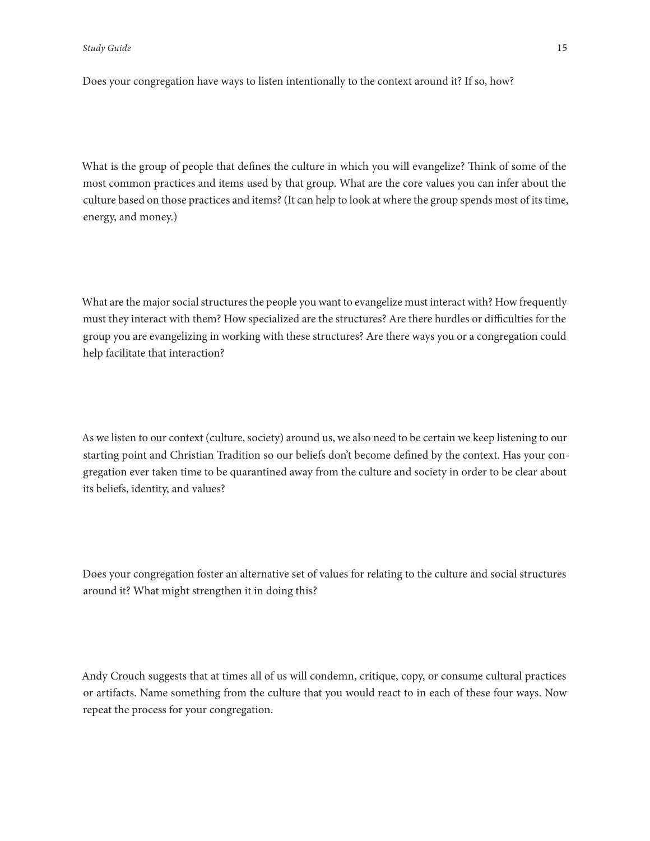Does your congregation have ways to listen intentionally to the context around it? If so, how?

What is the group of people that defines the culture in which you will evangelize? Think of some of the most common practices and items used by that group. What are the core values you can infer about the culture based on those practices and items? (It can help to look at where the group spends most of its time, energy, and money.)

What are the major social structures the people you want to evangelize must interact with? How frequently must they interact with them? How specialized are the structures? Are there hurdles or difficulties for the group you are evangelizing in working with these structures? Are there ways you or a congregation could help facilitate that interaction?

As we listen to our context (culture, society) around us, we also need to be certain we keep listening to our starting point and Christian Tradition so our beliefs don't become defined by the context. Has your congregation ever taken time to be quarantined away from the culture and society in order to be clear about its beliefs, identity, and values?

Does your congregation foster an alternative set of values for relating to the culture and social structures around it? What might strengthen it in doing this?

Andy Crouch suggests that at times all of us will condemn, critique, copy, or consume cultural practices or artifacts. Name something from the culture that you would react to in each of these four ways. Now repeat the process for your congregation.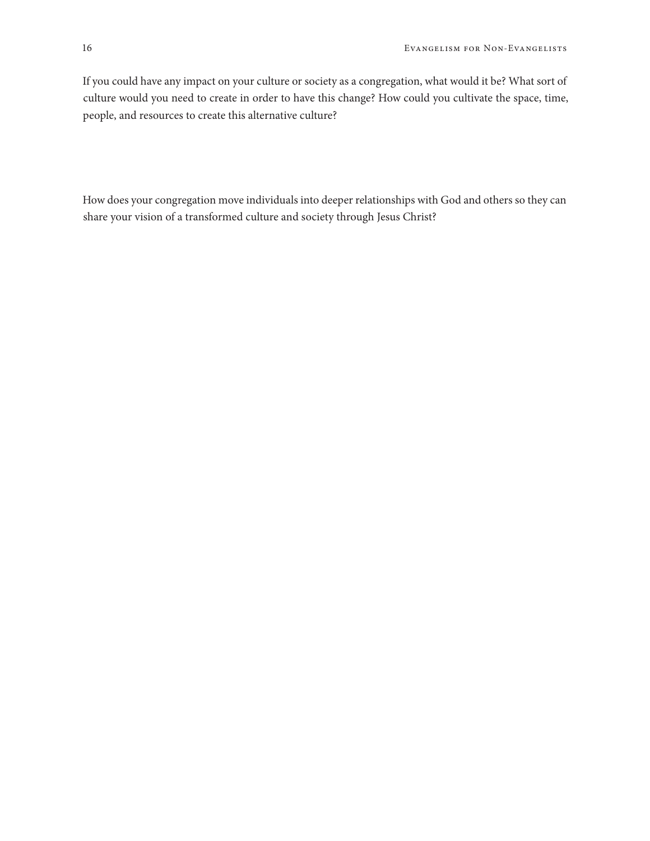If you could have any impact on your culture or society as a congregation, what would it be? What sort of culture would you need to create in order to have this change? How could you cultivate the space, time, people, and resources to create this alternative culture?

How does your congregation move individuals into deeper relationships with God and others so they can share your vision of a transformed culture and society through Jesus Christ?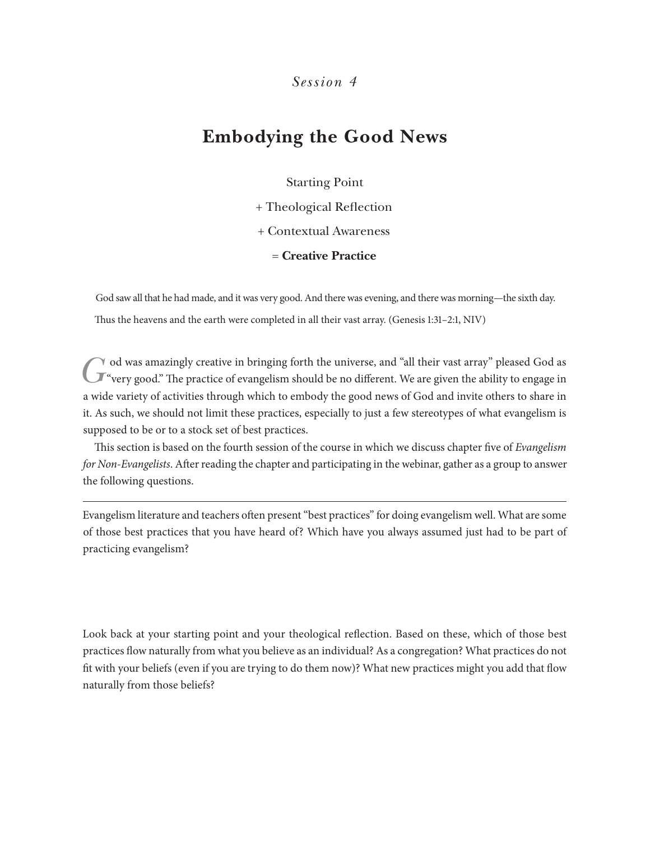### **Embodying the Good News**

#### Starting Point

+ Theological Reflection

+ Contextual Awareness

= **Creative Practice**

God saw all that he had made, and it was very good. And there was evening, and there was morning—the sixth day.

Thus the heavens and the earth were completed in all their vast array. (Genesis 1:31–2:1, NIV)

God was amazingly creative in bringing forth the universe, and "all their vast array" pleased God as we were years of evangelism should be no different. We are given the ability to engage in a wide variety of activities through which to embody the good news of God and invite others to share in it. As such, we should not limit these practices, especially to just a few stereotypes of what evangelism is supposed to be or to a stock set of best practices.

This section is based on the fourth session of the course in which we discuss chapter five of *Evangelism for Non-Evangelists*. After reading the chapter and participating in the webinar, gather as a group to answer the following questions.

Evangelism literature and teachers often present "best practices" for doing evangelism well. What are some of those best practices that you have heard of? Which have you always assumed just had to be part of practicing evangelism?

Look back at your starting point and your theological reflection. Based on these, which of those best practices flow naturally from what you believe as an individual? As a congregation? What practices do not fit with your beliefs (even if you are trying to do them now)? What new practices might you add that flow naturally from those beliefs?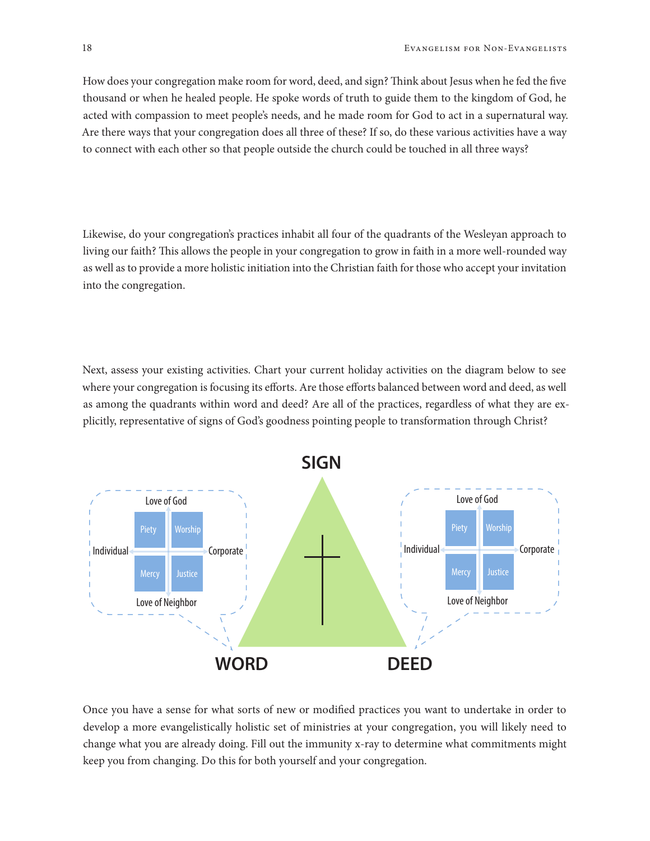How does your congregation make room for word, deed, and sign? Think about Jesus when he fed the five thousand or when he healed people. He spoke words of truth to guide them to the kingdom of God, he acted with compassion to meet people's needs, and he made room for God to act in a supernatural way. Are there ways that your congregation does all three of these? If so, do these various activities have a way to connect with each other so that people outside the church could be touched in all three ways?

Likewise, do your congregation's practices inhabit all four of the quadrants of the Wesleyan approach to living our faith? This allows the people in your congregation to grow in faith in a more well-rounded way as well as to provide a more holistic initiation into the Christian faith for those who accept your invitation into the congregation.

Next, assess your existing activities. Chart your current holiday activities on the diagram below to see where your congregation is focusing its efforts. Are those efforts balanced between word and deed, as well as among the quadrants within word and deed? Are all of the practices, regardless of what they are explicitly, representative of signs of God's goodness pointing people to transformation through Christ?



Once you have a sense for what sorts of new or modified practices you want to undertake in order to develop a more evangelistically holistic set of ministries at your congregation, you will likely need to change what you are already doing. Fill out the immunity x-ray to determine what commitments might keep you from changing. Do this for both yourself and your congregation.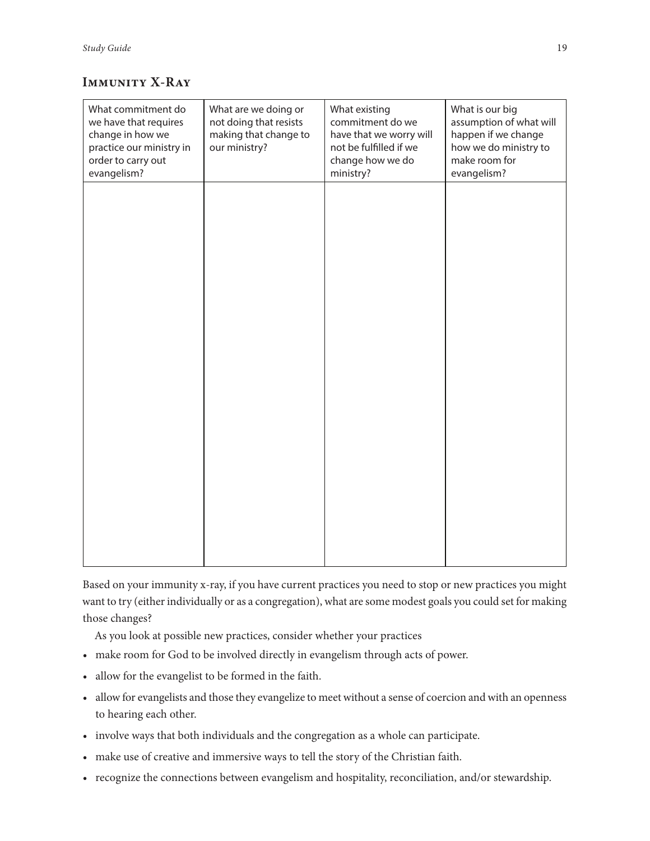#### **Immunity X-Ray**

| What commitment do<br>we have that requires<br>change in how we<br>practice our ministry in<br>order to carry out<br>evangelism? | What are we doing or<br>not doing that resists<br>making that change to<br>our ministry? | What existing<br>commitment do we<br>have that we worry will<br>not be fulfilled if we<br>change how we do<br>ministry? | What is our big<br>assumption of what will<br>happen if we change<br>how we do ministry to<br>make room for<br>evangelism? |
|----------------------------------------------------------------------------------------------------------------------------------|------------------------------------------------------------------------------------------|-------------------------------------------------------------------------------------------------------------------------|----------------------------------------------------------------------------------------------------------------------------|
|                                                                                                                                  |                                                                                          |                                                                                                                         |                                                                                                                            |
|                                                                                                                                  |                                                                                          |                                                                                                                         |                                                                                                                            |
|                                                                                                                                  |                                                                                          |                                                                                                                         |                                                                                                                            |
|                                                                                                                                  |                                                                                          |                                                                                                                         |                                                                                                                            |
|                                                                                                                                  |                                                                                          |                                                                                                                         |                                                                                                                            |

Based on your immunity x-ray, if you have current practices you need to stop or new practices you might want to try (either individually or as a congregation), what are some modest goals you could set for making those changes?

As you look at possible new practices, consider whether your practices

- make room for God to be involved directly in evangelism through acts of power.
- allow for the evangelist to be formed in the faith.
- allow for evangelists and those they evangelize to meet without a sense of coercion and with an openness to hearing each other.
- involve ways that both individuals and the congregation as a whole can participate.
- make use of creative and immersive ways to tell the story of the Christian faith.
- recognize the connections between evangelism and hospitality, reconciliation, and/or stewardship.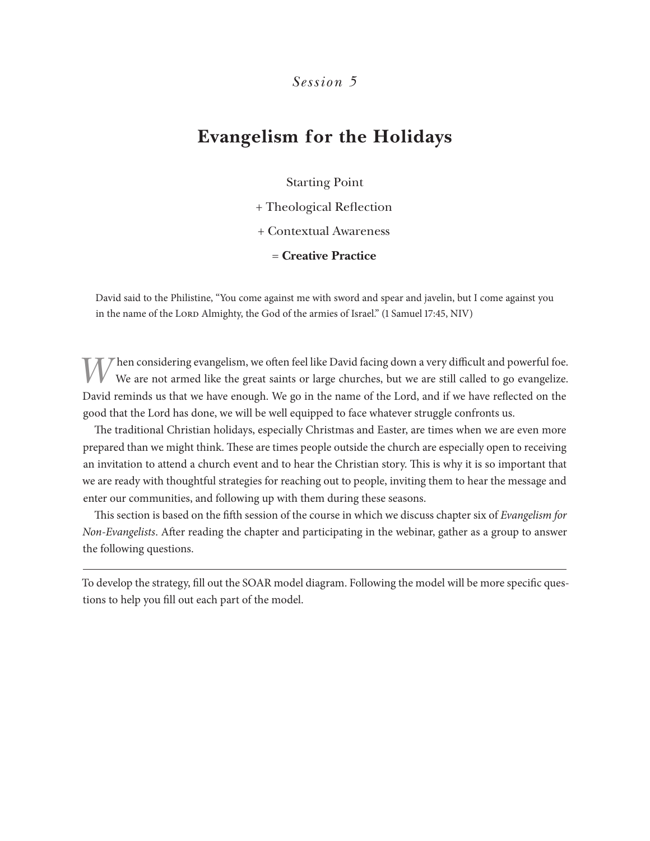### **Evangelism for the Holidays**

Starting Point

+ Theological Reflection

+ Contextual Awareness

= **Creative Practice**

David said to the Philistine, "You come against me with sword and spear and javelin, but I come against you in the name of the Lord Almighty, the God of the armies of Israel." (1 Samuel 17:45, NIV)

Then considering evangelism, we often feel like David facing down a very difficult and powerful foe. We are not armed like the great saints or large churches, but we are still called to go evangelize. David reminds us that we have enough. We go in the name of the Lord, and if we have reflected on the good that the Lord has done, we will be well equipped to face whatever struggle confronts us.

The traditional Christian holidays, especially Christmas and Easter, are times when we are even more prepared than we might think. These are times people outside the church are especially open to receiving an invitation to attend a church event and to hear the Christian story. This is why it is so important that we are ready with thoughtful strategies for reaching out to people, inviting them to hear the message and enter our communities, and following up with them during these seasons.

This section is based on the fifth session of the course in which we discuss chapter six of *Evangelism for Non-Evangelists*. After reading the chapter and participating in the webinar, gather as a group to answer the following questions.

To develop the strategy, fill out the SOAR model diagram. Following the model will be more specific questions to help you fill out each part of the model.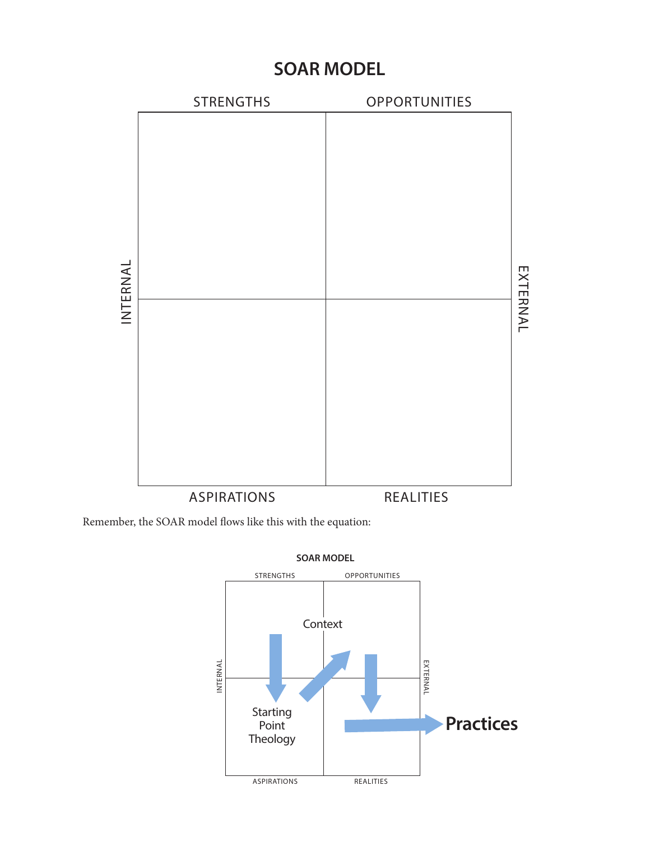### **SOAR MODEL**



Remember, the SOAR model flows like this with the equation:



**SOAR MODEL**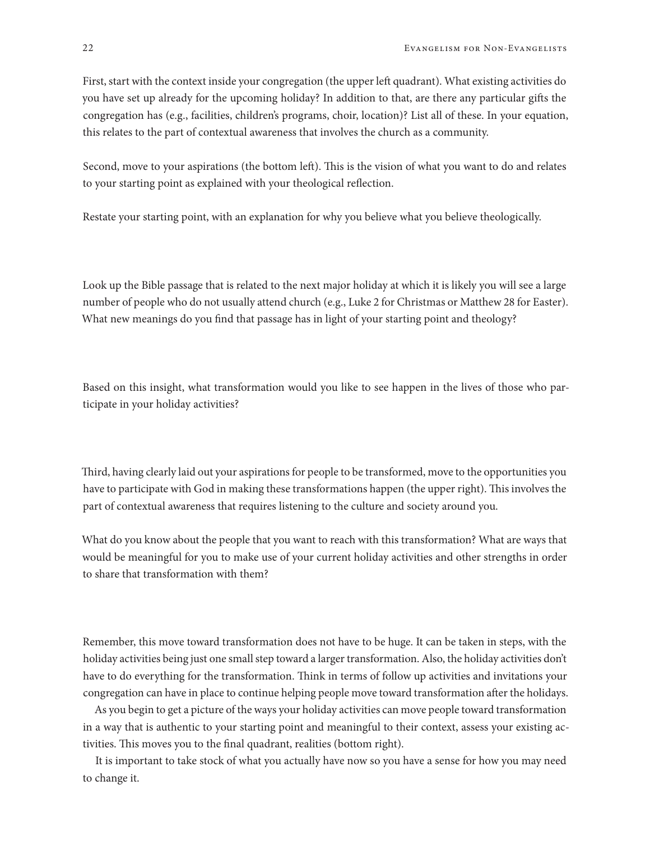First, start with the context inside your congregation (the upper left quadrant). What existing activities do you have set up already for the upcoming holiday? In addition to that, are there any particular gifts the congregation has (e.g., facilities, children's programs, choir, location)? List all of these. In your equation, this relates to the part of contextual awareness that involves the church as a community.

Second, move to your aspirations (the bottom left). This is the vision of what you want to do and relates to your starting point as explained with your theological reflection.

Restate your starting point, with an explanation for why you believe what you believe theologically.

Look up the Bible passage that is related to the next major holiday at which it is likely you will see a large number of people who do not usually attend church (e.g., Luke 2 for Christmas or Matthew 28 for Easter). What new meanings do you find that passage has in light of your starting point and theology?

Based on this insight, what transformation would you like to see happen in the lives of those who participate in your holiday activities?

Third, having clearly laid out your aspirations for people to be transformed, move to the opportunities you have to participate with God in making these transformations happen (the upper right). This involves the part of contextual awareness that requires listening to the culture and society around you.

What do you know about the people that you want to reach with this transformation? What are ways that would be meaningful for you to make use of your current holiday activities and other strengths in order to share that transformation with them?

Remember, this move toward transformation does not have to be huge. It can be taken in steps, with the holiday activities being just one small step toward a larger transformation. Also, the holiday activities don't have to do everything for the transformation. Think in terms of follow up activities and invitations your congregation can have in place to continue helping people move toward transformation after the holidays.

As you begin to get a picture of the ways your holiday activities can move people toward transformation in a way that is authentic to your starting point and meaningful to their context, assess your existing activities. This moves you to the final quadrant, realities (bottom right).

It is important to take stock of what you actually have now so you have a sense for how you may need to change it.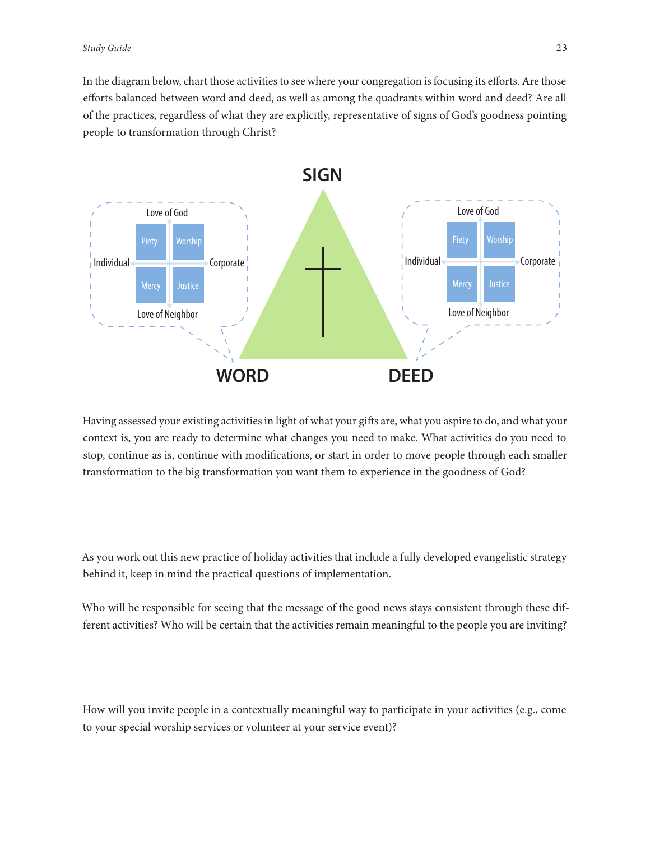In the diagram below, chart those activities to see where your congregation is focusing its efforts. Are those efforts balanced between word and deed, as well as among the quadrants within word and deed? Are all of the practices, regardless of what they are explicitly, representative of signs of God's goodness pointing people to transformation through Christ?



Having assessed your existing activities in light of what your gifts are, what you aspire to do, and what your context is, you are ready to determine what changes you need to make. What activities do you need to stop, continue as is, continue with modifications, or start in order to move people through each smaller transformation to the big transformation you want them to experience in the goodness of God?

As you work out this new practice of holiday activities that include a fully developed evangelistic strategy behind it, keep in mind the practical questions of implementation.

Who will be responsible for seeing that the message of the good news stays consistent through these different activities? Who will be certain that the activities remain meaningful to the people you are inviting?

How will you invite people in a contextually meaningful way to participate in your activities (e.g., come to your special worship services or volunteer at your service event)?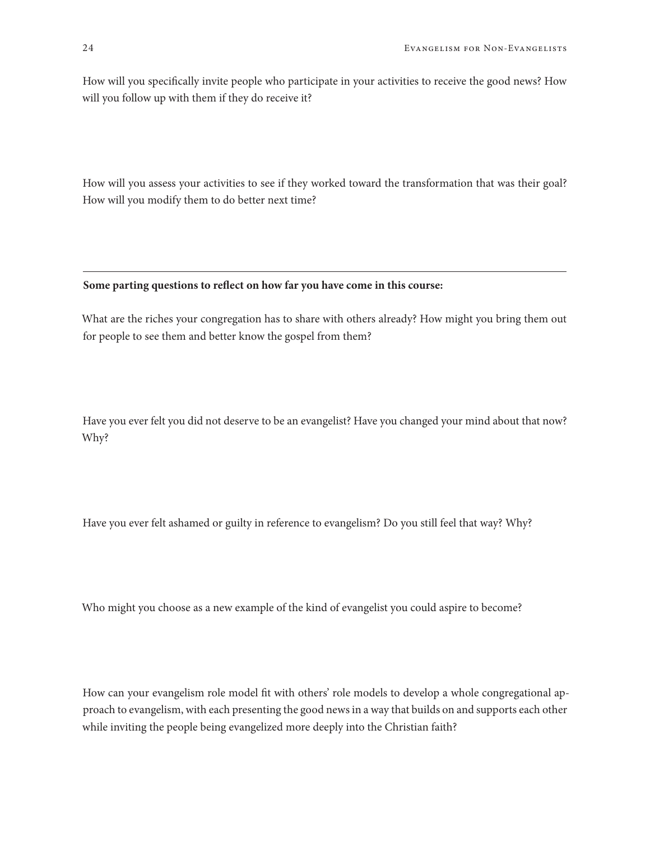How will you specifically invite people who participate in your activities to receive the good news? How will you follow up with them if they do receive it?

How will you assess your activities to see if they worked toward the transformation that was their goal? How will you modify them to do better next time?

#### **Some parting questions to reflect on how far you have come in this course:**

What are the riches your congregation has to share with others already? How might you bring them out for people to see them and better know the gospel from them?

Have you ever felt you did not deserve to be an evangelist? Have you changed your mind about that now? Why?

Have you ever felt ashamed or guilty in reference to evangelism? Do you still feel that way? Why?

Who might you choose as a new example of the kind of evangelist you could aspire to become?

How can your evangelism role model fit with others' role models to develop a whole congregational approach to evangelism, with each presenting the good news in a way that builds on and supports each other while inviting the people being evangelized more deeply into the Christian faith?